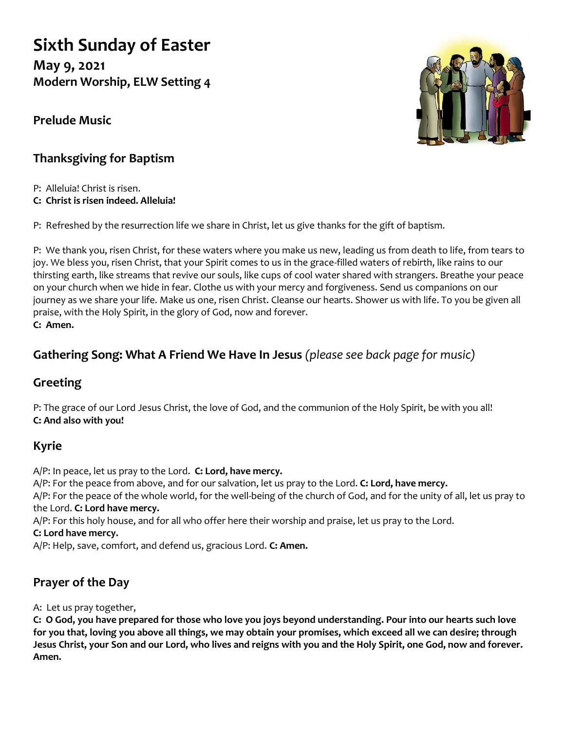# **Sixth Sunday of Easter**

**May 9, 2021 Modern Worship, ELW Setting 4**

**Prelude Music**



# **Thanksgiving for Baptism**

P: Alleluia! Christ is risen. **C: Christ is risen indeed. Alleluia!**

P: Refreshed by the resurrection life we share in Christ, let us give thanks for the gift of baptism.

P: We thank you, risen Christ, for these waters where you make us new, leading us from death to life, from tears to joy. We bless you, risen Christ, that your Spirit comes to us in the grace-filled waters of rebirth, like rains to our thirsting earth, like streams that revive our souls, like cups of cool water shared with strangers. Breathe your peace on your church when we hide in fear. Clothe us with your mercy and forgiveness. Send us companions on our journey as we share your life. Make us one, risen Christ. Cleanse our hearts. Shower us with life. To you be given all praise, with the Holy Spirit, in the glory of God, now and forever. **C: Amen.**

# **Gathering Song: What A Friend We Have In Jesus** *(please see back page for music)*

## **Greeting**

P: The grace of our Lord Jesus Christ, the love of God, and the communion of the Holy Spirit, be with you all! **C: And also with you!**

## **Kyrie**

A/P: In peace, let us pray to the Lord. **C: Lord, have mercy.** A/P: For the peace from above, and for our salvation, let us pray to the Lord. **C: Lord, have mercy.** A/P: For the peace of the whole world, for the well-being of the church of God, and for the unity of all, let us pray to the Lord. **C: Lord have mercy.**

A/P: For this holy house, and for all who offer here their worship and praise, let us pray to the Lord.

#### **C: Lord have mercy.**

A/P: Help, save, comfort, and defend us, gracious Lord. **C: Amen.**

# **Prayer of the Day**

A: Let us pray together,

**C: O God, you have prepared for those who love you joys beyond understanding. Pour into our hearts such love for you that, loving you above all things, we may obtain your promises, which exceed all we can desire; through Jesus Christ, your Son and our Lord, who lives and reigns with you and the Holy Spirit, one God, now and forever. Amen.**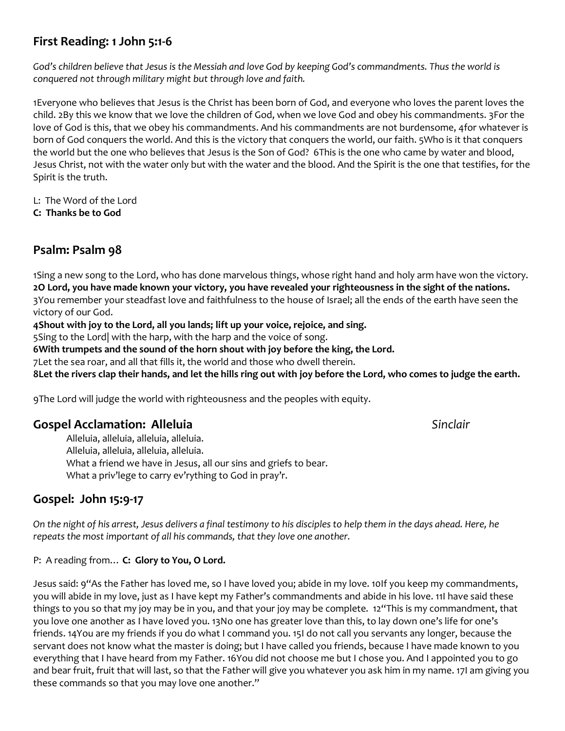## **First Reading: 1 John 5:1-6**

*God's children believe that Jesus is the Messiah and love God by keeping God's commandments. Thus the world is conquered not through military might but through love and faith.*

1Everyone who believes that Jesus is the Christ has been born of God, and everyone who loves the parent loves the child. 2By this we know that we love the children of God, when we love God and obey his commandments. 3For the love of God is this, that we obey his commandments. And his commandments are not burdensome, 4for whatever is born of God conquers the world. And this is the victory that conquers the world, our faith. 5Who is it that conquers the world but the one who believes that Jesus is the Son of God? 6This is the one who came by water and blood, Jesus Christ, not with the water only but with the water and the blood. And the Spirit is the one that testifies, for the Spirit is the truth.

L: The Word of the Lord

**C: Thanks be to God**

## **Psalm: Psalm 98**

1Sing a new song to the Lord, who has done marvelous things, whose right hand and holy arm have won the victory. **2O Lord, you have made known your victory, you have revealed your righteousness in the sight of the nations.** 3You remember your steadfast love and faithfulness to the house of Israel; all the ends of the earth have seen the victory of our God.

**4Shout with joy to the Lord, all you lands; lift up your voice, rejoice, and sing.**

5Sing to the Lord| with the harp, with the harp and the voice of song.

**6With trumpets and the sound of the horn shout with joy before the king, the Lord.**

7Let the sea roar, and all that fills it, the world and those who dwell therein.

**8Let the rivers clap their hands, and let the hills ring out with joy before the Lord, who comes to judge the earth.**

9The Lord will judge the world with righteousness and the peoples with equity.

## **Gospel Acclamation: Alleluia** *Sinclair*

Alleluia, alleluia, alleluia, alleluia. Alleluia, alleluia, alleluia, alleluia. What a friend we have in Jesus, all our sins and griefs to bear. What a priv'lege to carry ev'rything to God in pray'r.

## **Gospel: John 15:9-17**

*On the night of his arrest, Jesus delivers a final testimony to his disciples to help them in the days ahead. Here, he repeats the most important of all his commands, that they love one another.*

P: A reading from… **C: Glory to You, O Lord.**

Jesus said: 9"As the Father has loved me, so I have loved you; abide in my love. 10If you keep my commandments, you will abide in my love, just as I have kept my Father's commandments and abide in his love. 11I have said these things to you so that my joy may be in you, and that your joy may be complete. 12"This is my commandment, that you love one another as I have loved you. 13No one has greater love than this, to lay down one's life for one's friends. 14You are my friends if you do what I command you. 15I do not call you servants any longer, because the servant does not know what the master is doing; but I have called you friends, because I have made known to you everything that I have heard from my Father. 16You did not choose me but I chose you. And I appointed you to go and bear fruit, fruit that will last, so that the Father will give you whatever you ask him in my name. 17I am giving you these commands so that you may love one another."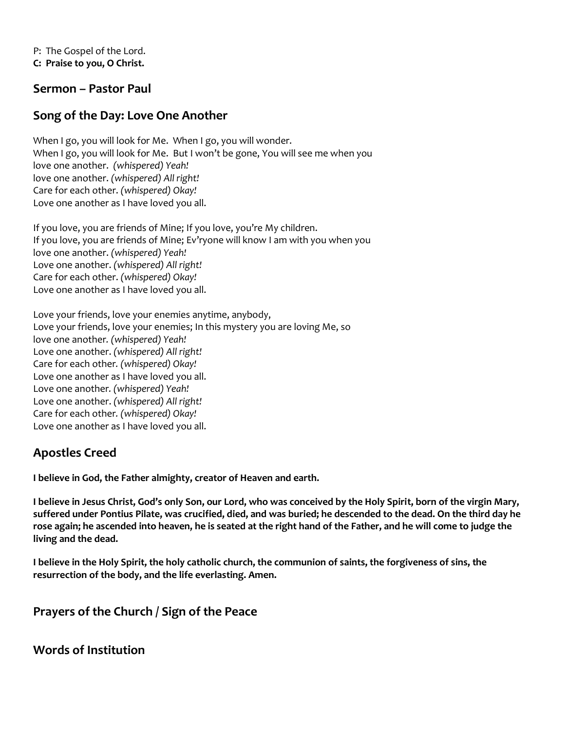P: The Gospel of the Lord. **C: Praise to you, O Christ.**

#### **Sermon – Pastor Paul**

## **Song of the Day: Love One Another**

When I go, you will look for Me. When I go, you will wonder. When I go, you will look for Me. But I won't be gone, You will see me when you love one another. *(whispered) Yeah!*  love one another. *(whispered) All right!* Care for each other. *(whispered) Okay!* Love one another as I have loved you all.

If you love, you are friends of Mine; If you love, you're My children. If you love, you are friends of Mine; Ev'ryone will know I am with you when you love one another. *(whispered) Yeah!* Love one another. *(whispered) All right!* Care for each other. *(whispered) Okay!* Love one another as I have loved you all.

Love your friends, love your enemies anytime, anybody, Love your friends, love your enemies; In this mystery you are loving Me, so love one another*. (whispered) Yeah!* Love one another. *(whispered) All right!* Care for each other*. (whispered) Okay!* Love one another as I have loved you all. Love one another*. (whispered) Yeah!* Love one another. *(whispered) All right!* Care for each other*. (whispered) Okay!* Love one another as I have loved you all.

## **Apostles Creed**

**I believe in God, the Father almighty, creator of Heaven and earth.** 

**I believe in Jesus Christ, God's only Son, our Lord, who was conceived by the Holy Spirit, born of the virgin Mary, suffered under Pontius Pilate, was crucified, died, and was buried; he descended to the dead. On the third day he rose again; he ascended into heaven, he is seated at the right hand of the Father, and he will come to judge the living and the dead.**

**I believe in the Holy Spirit, the holy catholic church, the communion of saints, the forgiveness of sins, the resurrection of the body, and the life everlasting. Amen.**

## **Prayers of the Church / Sign of the Peace**

**Words of Institution**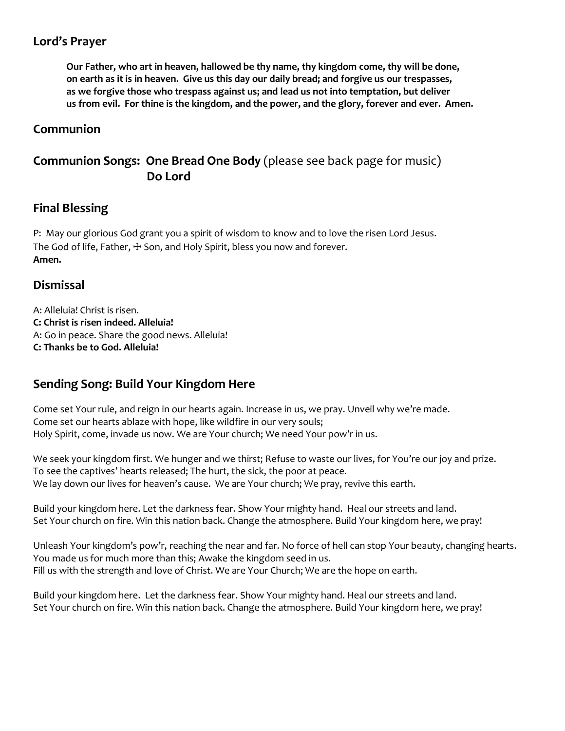## **Lord's Prayer**

**Our Father, who art in heaven, hallowed be thy name, thy kingdom come, thy will be done, on earth as it is in heaven. Give us this day our daily bread; and forgive us our trespasses, as we forgive those who trespass against us; and lead us not into temptation, but deliver us from evil. For thine is the kingdom, and the power, and the glory, forever and ever. Amen.**

## **Communion**

## **Communion Songs: One Bread One Body** (please see back page for music)  **Do Lord**

### **Final Blessing**

P: May our glorious God grant you a spirit of wisdom to know and to love the risen Lord Jesus. The God of life, Father,  $\pm$  Son, and Holy Spirit, bless you now and forever. **Amen.**

### **Dismissal**

A: Alleluia! Christ is risen. **C: Christ is risen indeed. Alleluia!** A: Go in peace. Share the good news. Alleluia! **C: Thanks be to God. Alleluia!**

## **Sending Song: Build Your Kingdom Here**

Come set Your rule, and reign in our hearts again. Increase in us, we pray. Unveil why we're made. Come set our hearts ablaze with hope, like wildfire in our very souls; Holy Spirit, come, invade us now. We are Your church; We need Your pow'r in us.

We seek your kingdom first. We hunger and we thirst; Refuse to waste our lives, for You're our joy and prize. To see the captives' hearts released; The hurt, the sick, the poor at peace. We lay down our lives for heaven's cause. We are Your church; We pray, revive this earth.

Build your kingdom here. Let the darkness fear. Show Your mighty hand. Heal our streets and land. Set Your church on fire. Win this nation back. Change the atmosphere. Build Your kingdom here, we pray!

Unleash Your kingdom's pow'r, reaching the near and far. No force of hell can stop Your beauty, changing hearts. You made us for much more than this; Awake the kingdom seed in us. Fill us with the strength and love of Christ. We are Your Church; We are the hope on earth.

Build your kingdom here. Let the darkness fear. Show Your mighty hand. Heal our streets and land. Set Your church on fire. Win this nation back. Change the atmosphere. Build Your kingdom here, we pray!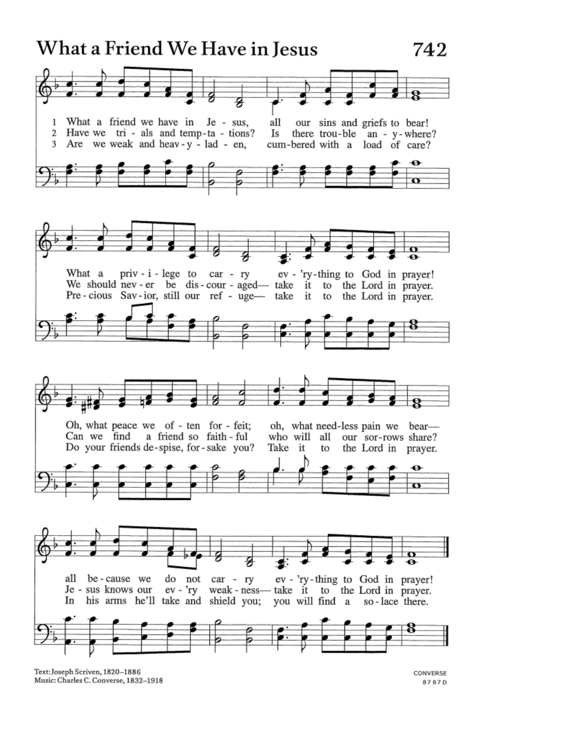

Text: Joseph Scriven, 1820-1886 Music: Charles C. Converse, 1832-1918

CONVERSE 8787D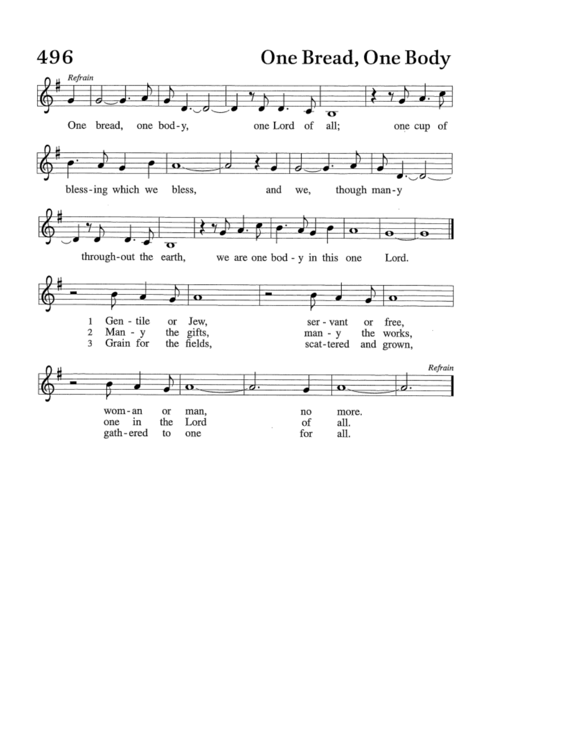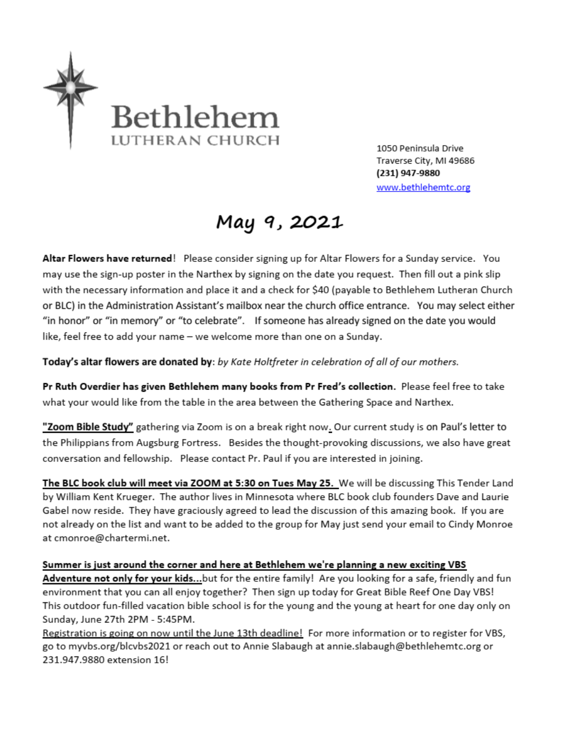

1050 Peninsula Drive Traverse City, MI 49686 (231) 947-9880 www.bethlehemtc.org

# May 9, 2021

Altar Flowers have returned! Please consider signing up for Altar Flowers for a Sunday service. You may use the sign-up poster in the Narthex by signing on the date you request. Then fill out a pink slip with the necessary information and place it and a check for \$40 (payable to Bethlehem Lutheran Church or BLC) in the Administration Assistant's mailbox near the church office entrance. You may select either "in honor" or "in memory" or "to celebrate". If someone has already signed on the date you would like, feel free to add your name - we welcome more than one on a Sunday.

Today's altar flowers are donated by: by Kate Holtfreter in celebration of all of our mothers.

Pr Ruth Overdier has given Bethlehem many books from Pr Fred's collection. Please feel free to take what your would like from the table in the area between the Gathering Space and Narthex.

"Zoom Bible Study" gathering via Zoom is on a break right now. Our current study is on Paul's letter to the Philippians from Augsburg Fortress. Besides the thought-provoking discussions, we also have great conversation and fellowship. Please contact Pr. Paul if you are interested in joining.

The BLC book club will meet via ZOOM at 5:30 on Tues May 25. We will be discussing This Tender Land by William Kent Krueger. The author lives in Minnesota where BLC book club founders Dave and Laurie Gabel now reside. They have graciously agreed to lead the discussion of this amazing book. If you are not already on the list and want to be added to the group for May just send your email to Cindy Monroe at cmonroe@chartermi.net.

Summer is just around the corner and here at Bethlehem we're planning a new exciting VBS Adventure not only for your kids...but for the entire family! Are you looking for a safe, friendly and fun environment that you can all enjoy together? Then sign up today for Great Bible Reef One Day VBS! This outdoor fun-filled vacation bible school is for the young and the young at heart for one day only on Sunday, June 27th 2PM - 5:45PM.

Registration is going on now until the June 13th deadline! For more information or to register for VBS, go to myvbs.org/blcvbs2021 or reach out to Annie Slabaugh at annie.slabaugh@bethlehemtc.org or 231.947.9880 extension 16!